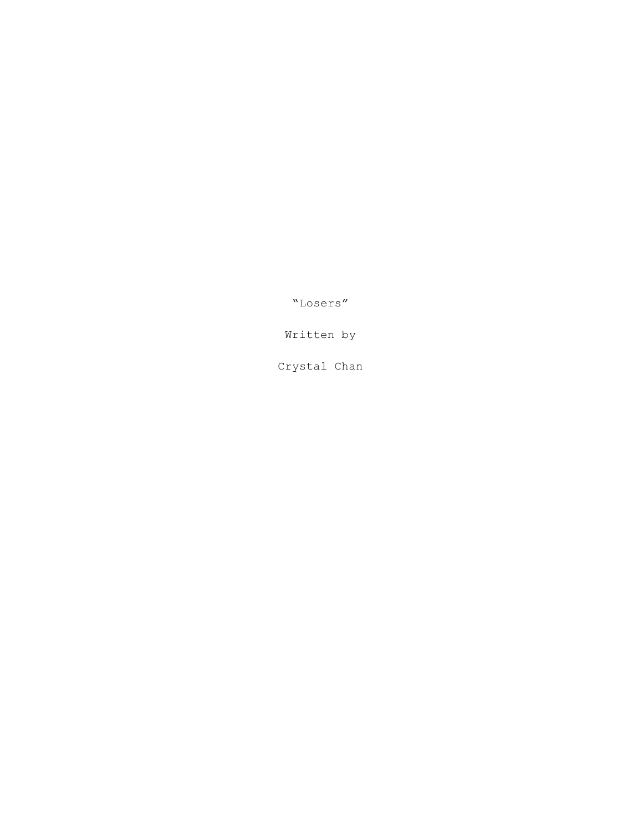"Losers"

Written by

Crystal Chan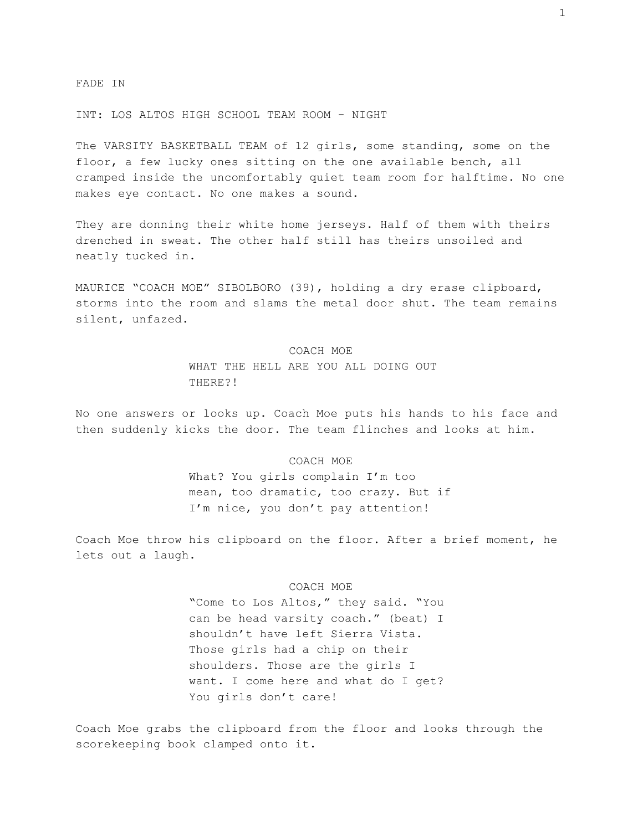FADE IN

INT: LOS ALTOS HIGH SCHOOL TEAM ROOM - NIGHT

The VARSITY BASKETBALL TEAM of 12 girls, some standing, some on the floor, a few lucky ones sitting on the one available bench, all cramped inside the uncomfortably quiet team room for halftime. No one makes eye contact. No one makes a sound.

They are donning their white home jerseys. Half of them with theirs drenched in sweat. The other half still has theirs unsoiled and neatly tucked in.

MAURICE "COACH MOE" SIBOLBORO (39), holding a dry erase clipboard, storms into the room and slams the metal door shut. The team remains silent, unfazed.

# COACH MOE WHAT THE HELL ARE YOU ALL DOING OUT THERE?!

No one answers or looks up. Coach Moe puts his hands to his face and then suddenly kicks the door. The team flinches and looks at him.

#### COACH MOE

What? You girls complain I'm too mean, too dramatic, too crazy. But if I'm nice, you don't pay attention!

Coach Moe throw his clipboard on the floor. After a brief moment, he lets out a laugh.

#### COACH MOE

"Come to Los Altos," they said. "You can be head varsity coach." (beat) I shouldn't have left Sierra Vista. Those girls had a chip on their shoulders. Those are the girls I want. I come here and what do I get? You girls don't care!

Coach Moe grabs the clipboard from the floor and looks through the scorekeeping book clamped onto it.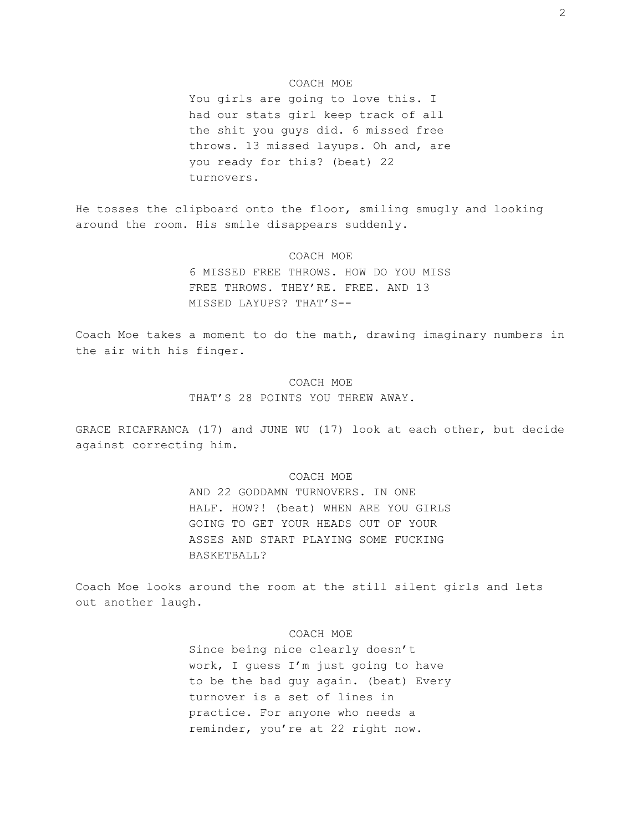## COACH MOE

You girls are going to love this. I had our stats girl keep track of all the shit you guys did. 6 missed free throws. 13 missed layups. Oh and, are you ready for this? (beat) 22 turnovers.

He tosses the clipboard onto the floor, smiling smugly and looking around the room. His smile disappears suddenly.

## COACH MOE

6 MISSED FREE THROWS. HOW DO YOU MISS FREE THROWS. THEY'RE. FREE. AND 13 MISSED LAYUPS? THAT'S--

Coach Moe takes a moment to do the math, drawing imaginary numbers in the air with his finger.

# COACH MOE THAT'S 28 POINTS YOU THREW AWAY.

GRACE RICAFRANCA (17) and JUNE WU (17) look at each other, but decide against correcting him.

## COACH MOE

AND 22 GODDAMN TURNOVERS. IN ONE HALF. HOW?! (beat) WHEN ARE YOU GIRLS GOING TO GET YOUR HEADS OUT OF YOUR ASSES AND START PLAYING SOME FUCKING BASKETBALL?

Coach Moe looks around the room at the still silent girls and lets out another laugh.

## COACH MOE

Since being nice clearly doesn't work, I guess I'm just going to have to be the bad guy again. (beat) Every turnover is a set of lines in practice. For anyone who needs a reminder, you're at 22 right now.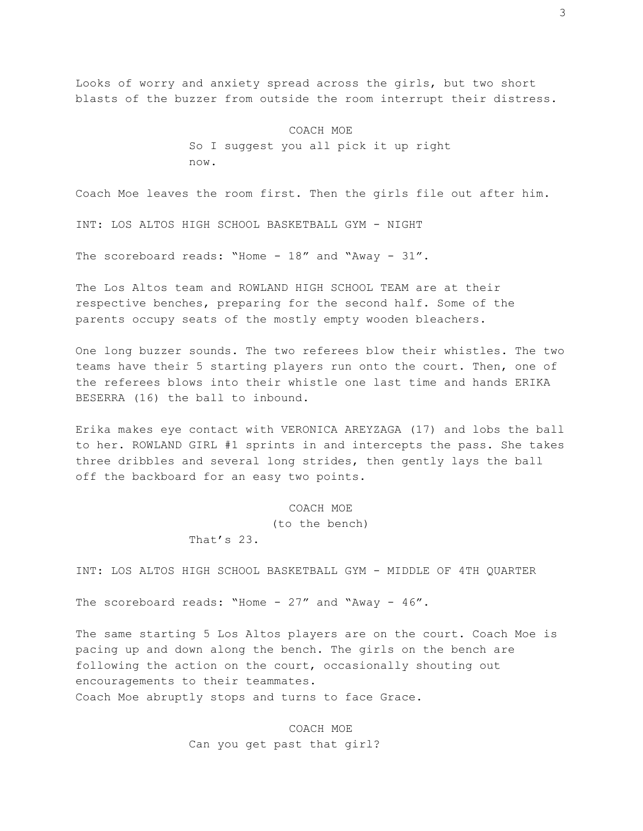Looks of worry and anxiety spread across the girls, but two short blasts of the buzzer from outside the room interrupt their distress.

> COACH MOE So I suggest you all pick it up right now.

Coach Moe leaves the room first. Then the girls file out after him.

INT: LOS ALTOS HIGH SCHOOL BASKETBALL GYM - NIGHT

The scoreboard reads: "Home - 18" and "Away - 31".

The Los Altos team and ROWLAND HIGH SCHOOL TEAM are at their respective benches, preparing for the second half. Some of the parents occupy seats of the mostly empty wooden bleachers.

One long buzzer sounds. The two referees blow their whistles. The two teams have their 5 starting players run onto the court. Then, one of the referees blows into their whistle one last time and hands ERIKA BESERRA (16) the ball to inbound.

Erika makes eye contact with VERONICA AREYZAGA (17) and lobs the ball to her. ROWLAND GIRL #1 sprints in and intercepts the pass. She takes three dribbles and several long strides, then gently lays the ball off the backboard for an easy two points.

## COACH MOE

(to the bench)

That's 23.

INT: LOS ALTOS HIGH SCHOOL BASKETBALL GYM - MIDDLE OF 4TH QUARTER

The scoreboard reads: "Home - 27" and "Away - 46".

The same starting 5 Los Altos players are on the court. Coach Moe is pacing up and down along the bench. The girls on the bench are following the action on the court, occasionally shouting out encouragements to their teammates. Coach Moe abruptly stops and turns to face Grace.

> COACH MOE Can you get past that girl?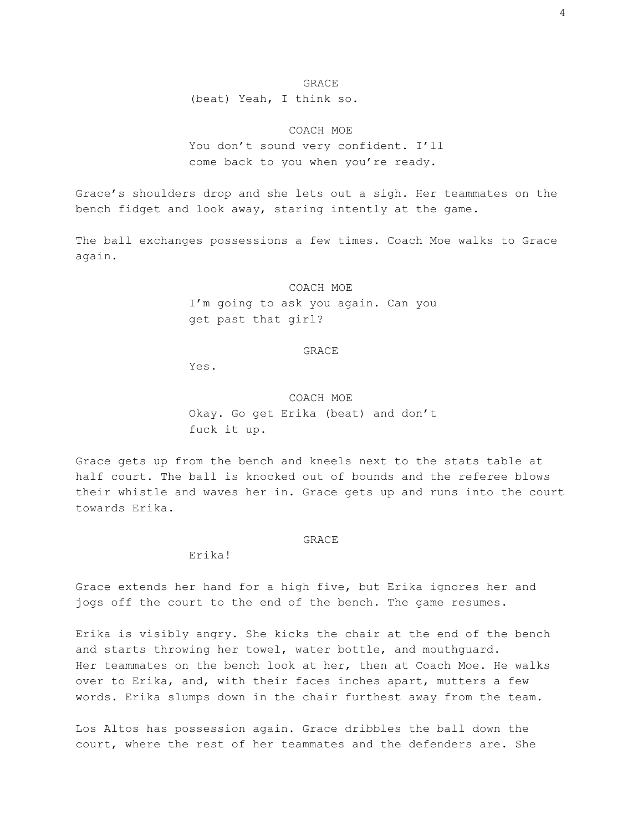### GRACE

(beat) Yeah, I think so.

COACH MOE

You don't sound very confident. I'll come back to you when you're ready.

Grace's shoulders drop and she lets out a sigh. Her teammates on the bench fidget and look away, staring intently at the game.

The ball exchanges possessions a few times. Coach Moe walks to Grace again.

#### COACH MOE

I'm going to ask you again. Can you get past that girl?

GRACE

Yes.

# COACH MOE

Okay. Go get Erika (beat) and don't fuck it up.

Grace gets up from the bench and kneels next to the stats table at half court. The ball is knocked out of bounds and the referee blows their whistle and waves her in. Grace gets up and runs into the court towards Erika.

#### GRACE

Erika!

Grace extends her hand for a high five, but Erika ignores her and jogs off the court to the end of the bench. The game resumes.

Erika is visibly angry. She kicks the chair at the end of the bench and starts throwing her towel, water bottle, and mouthguard. Her teammates on the bench look at her, then at Coach Moe. He walks over to Erika, and, with their faces inches apart, mutters a few words. Erika slumps down in the chair furthest away from the team.

Los Altos has possession again. Grace dribbles the ball down the court, where the rest of her teammates and the defenders are. She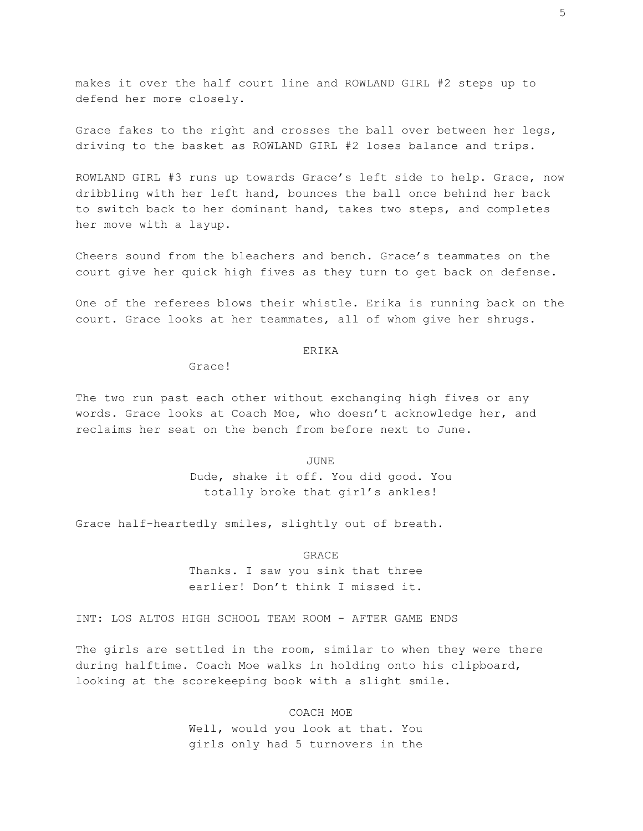makes it over the half court line and ROWLAND GIRL #2 steps up to defend her more closely.

Grace fakes to the right and crosses the ball over between her legs, driving to the basket as ROWLAND GIRL #2 loses balance and trips.

ROWLAND GIRL #3 runs up towards Grace's left side to help. Grace, now dribbling with her left hand, bounces the ball once behind her back to switch back to her dominant hand, takes two steps, and completes her move with a layup.

Cheers sound from the bleachers and bench. Grace's teammates on the court give her quick high fives as they turn to get back on defense.

One of the referees blows their whistle. Erika is running back on the court. Grace looks at her teammates, all of whom give her shrugs.

### ERIKA

Grace!

The two run past each other without exchanging high fives or any words. Grace looks at Coach Moe, who doesn't acknowledge her, and reclaims her seat on the bench from before next to June.

> JUNE Dude, shake it off. You did good. You totally broke that girl's ankles!

Grace half-heartedly smiles, slightly out of breath.

GRACE

Thanks. I saw you sink that three earlier! Don't think I missed it.

INT: LOS ALTOS HIGH SCHOOL TEAM ROOM - AFTER GAME ENDS

The girls are settled in the room, similar to when they were there during halftime. Coach Moe walks in holding onto his clipboard, looking at the scorekeeping book with a slight smile.

> COACH MOE Well, would you look at that. You girls only had 5 turnovers in the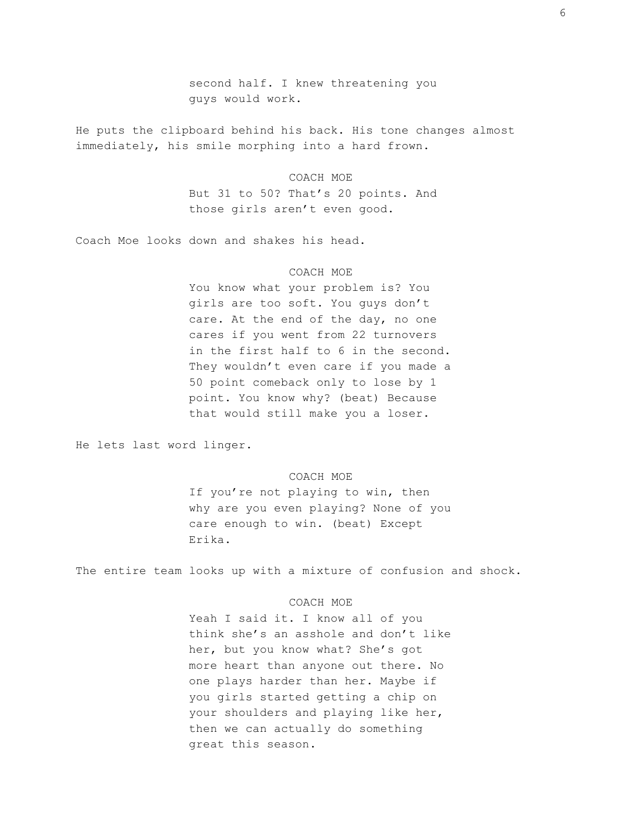second half. I knew threatening you guys would work.

He puts the clipboard behind his back. His tone changes almost immediately, his smile morphing into a hard frown.

#### COACH MOE

But 31 to 50? That's 20 points. And those girls aren't even good.

Coach Moe looks down and shakes his head.

## COACH MOE

You know what your problem is? You girls are too soft. You guys don't care. At the end of the day, no one cares if you went from 22 turnovers in the first half to 6 in the second. They wouldn't even care if you made a 50 point comeback only to lose by 1 point. You know why? (beat) Because that would still make you a loser.

He lets last word linger.

### COACH MOE

If you're not playing to win, then why are you even playing? None of you care enough to win. (beat) Except Erika.

The entire team looks up with a mixture of confusion and shock.

## COACH MOE

Yeah I said it. I know all of you think she's an asshole and don't like her, but you know what? She's got more heart than anyone out there. No one plays harder than her. Maybe if you girls started getting a chip on your shoulders and playing like her, then we can actually do something great this season.